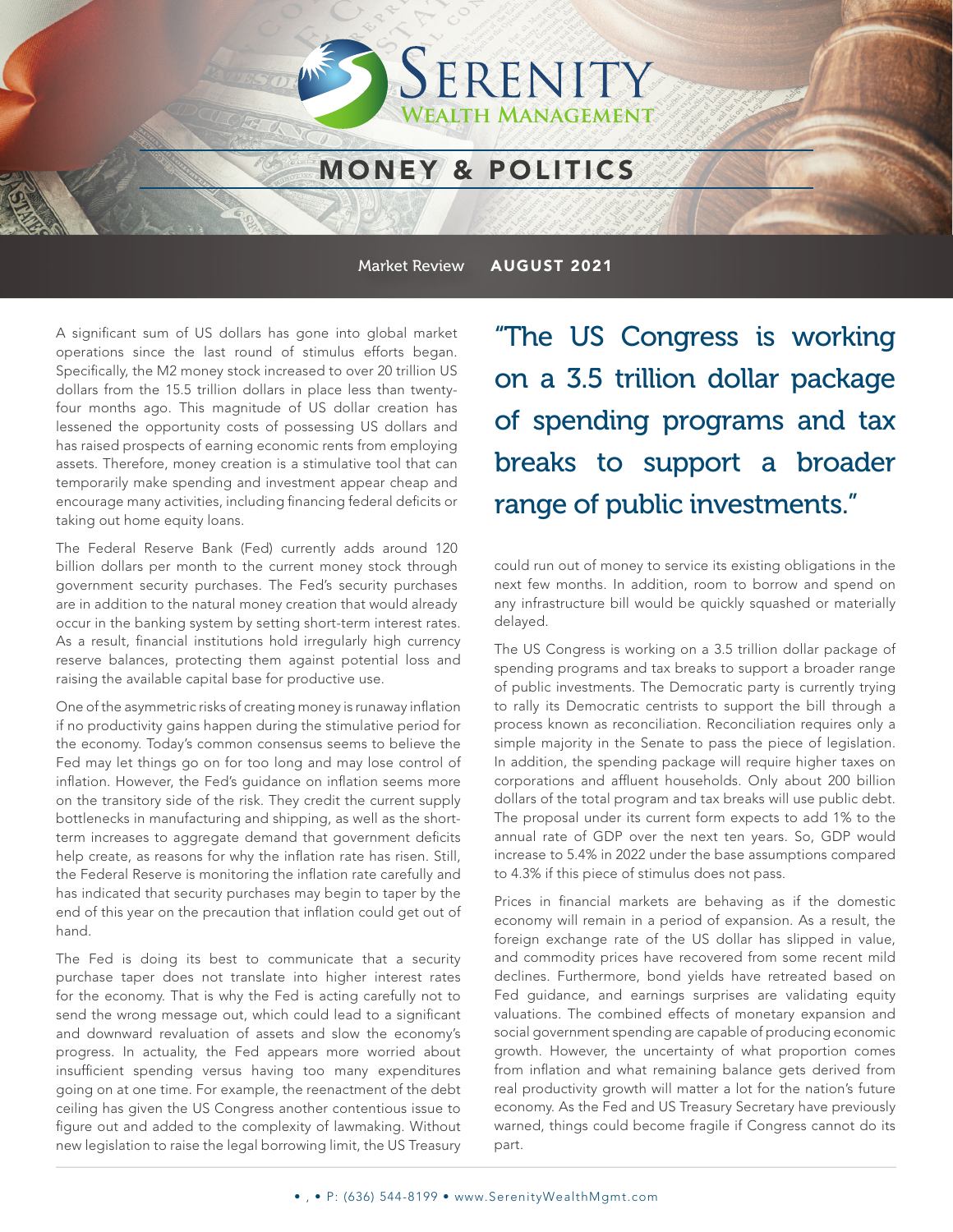### MONEY & POLITICS

SERENITY

**FAITH MANAGEMENT** 

Market Review AUGUST 2021

A significant sum of US dollars has gone into global market operations since the last round of stimulus efforts began. Specifically, the M2 money stock increased to over 20 trillion US dollars from the 15.5 trillion dollars in place less than twentyfour months ago. This magnitude of US dollar creation has lessened the opportunity costs of possessing US dollars and has raised prospects of earning economic rents from employing assets. Therefore, money creation is a stimulative tool that can temporarily make spending and investment appear cheap and encourage many activities, including financing federal deficits or taking out home equity loans.

The Federal Reserve Bank (Fed) currently adds around 120 billion dollars per month to the current money stock through government security purchases. The Fed's security purchases are in addition to the natural money creation that would already occur in the banking system by setting short-term interest rates. As a result, financial institutions hold irregularly high currency reserve balances, protecting them against potential loss and raising the available capital base for productive use.

One of the asymmetric risks of creating money is runaway inflation if no productivity gains happen during the stimulative period for the economy. Today's common consensus seems to believe the Fed may let things go on for too long and may lose control of inflation. However, the Fed's guidance on inflation seems more on the transitory side of the risk. They credit the current supply bottlenecks in manufacturing and shipping, as well as the shortterm increases to aggregate demand that government deficits help create, as reasons for why the inflation rate has risen. Still, the Federal Reserve is monitoring the inflation rate carefully and has indicated that security purchases may begin to taper by the end of this year on the precaution that inflation could get out of hand.

The Fed is doing its best to communicate that a security purchase taper does not translate into higher interest rates for the economy. That is why the Fed is acting carefully not to send the wrong message out, which could lead to a significant and downward revaluation of assets and slow the economy's progress. In actuality, the Fed appears more worried about insufficient spending versus having too many expenditures going on at one time. For example, the reenactment of the debt ceiling has given the US Congress another contentious issue to figure out and added to the complexity of lawmaking. Without new legislation to raise the legal borrowing limit, the US Treasury

"The US Congress is working on a 3.5 trillion dollar package of spending programs and tax breaks to support a broader range of public investments."

could run out of money to service its existing obligations in the next few months. In addition, room to borrow and spend on any infrastructure bill would be quickly squashed or materially delayed.

The US Congress is working on a 3.5 trillion dollar package of spending programs and tax breaks to support a broader range of public investments. The Democratic party is currently trying to rally its Democratic centrists to support the bill through a process known as reconciliation. Reconciliation requires only a simple majority in the Senate to pass the piece of legislation. In addition, the spending package will require higher taxes on corporations and affluent households. Only about 200 billion dollars of the total program and tax breaks will use public debt. The proposal under its current form expects to add 1% to the annual rate of GDP over the next ten years. So, GDP would increase to 5.4% in 2022 under the base assumptions compared to 4.3% if this piece of stimulus does not pass.

Prices in financial markets are behaving as if the domestic economy will remain in a period of expansion. As a result, the foreign exchange rate of the US dollar has slipped in value, and commodity prices have recovered from some recent mild declines. Furthermore, bond yields have retreated based on Fed guidance, and earnings surprises are validating equity valuations. The combined effects of monetary expansion and social government spending are capable of producing economic growth. However, the uncertainty of what proportion comes from inflation and what remaining balance gets derived from real productivity growth will matter a lot for the nation's future economy. As the Fed and US Treasury Secretary have previously warned, things could become fragile if Congress cannot do its part.